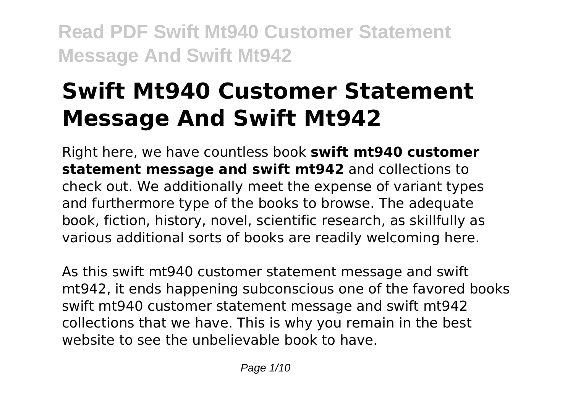# **Swift Mt940 Customer Statement Message And Swift Mt942**

Right here, we have countless book **swift mt940 customer statement message and swift mt942** and collections to check out. We additionally meet the expense of variant types and furthermore type of the books to browse. The adequate book, fiction, history, novel, scientific research, as skillfully as various additional sorts of books are readily welcoming here.

As this swift mt940 customer statement message and swift mt942, it ends happening subconscious one of the favored books swift mt940 customer statement message and swift mt942 collections that we have. This is why you remain in the best website to see the unbelievable book to have.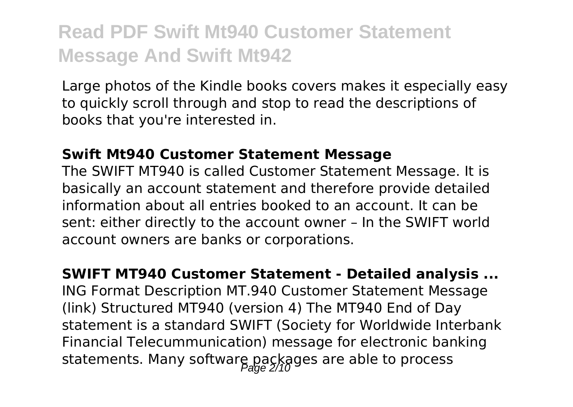Large photos of the Kindle books covers makes it especially easy to quickly scroll through and stop to read the descriptions of books that you're interested in.

#### **Swift Mt940 Customer Statement Message**

The SWIFT MT940 is called Customer Statement Message. It is basically an account statement and therefore provide detailed information about all entries booked to an account. It can be sent: either directly to the account owner – In the SWIFT world account owners are banks or corporations.

**SWIFT MT940 Customer Statement - Detailed analysis ...** ING Format Description MT.940 Customer Statement Message (link) Structured MT940 (version 4) The MT940 End of Day statement is a standard SWIFT (Society for Worldwide Interbank Financial Telecummunication) message for electronic banking statements. Many software packages are able to process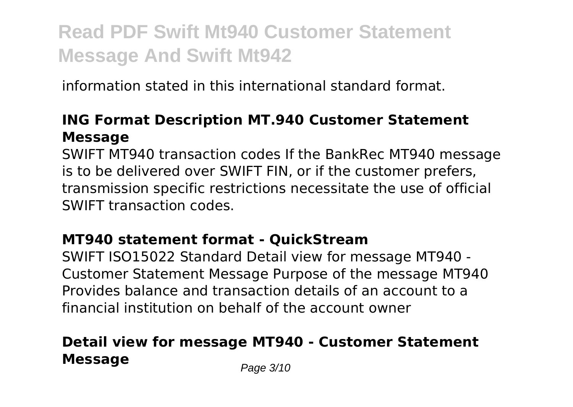information stated in this international standard format.

### **ING Format Description MT.940 Customer Statement Message**

SWIFT MT940 transaction codes If the BankRec MT940 message is to be delivered over SWIFT FIN, or if the customer prefers, transmission specific restrictions necessitate the use of official SWIFT transaction codes.

### **MT940 statement format - QuickStream**

SWIFT ISO15022 Standard Detail view for message MT940 - Customer Statement Message Purpose of the message MT940 Provides balance and transaction details of an account to a financial institution on behalf of the account owner

### **Detail view for message MT940 - Customer Statement Message** Page 3/10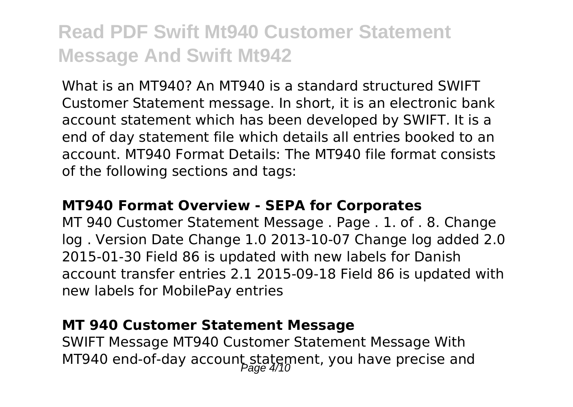What is an MT940? An MT940 is a standard structured SWIFT Customer Statement message. In short, it is an electronic bank account statement which has been developed by SWIFT. It is a end of day statement file which details all entries booked to an account. MT940 Format Details: The MT940 file format consists of the following sections and tags:

#### **MT940 Format Overview - SEPA for Corporates**

MT 940 Customer Statement Message . Page . 1. of . 8. Change log . Version Date Change 1.0 2013-10-07 Change log added 2.0 2015-01-30 Field 86 is updated with new labels for Danish account transfer entries 2.1 2015-09-18 Field 86 is updated with new labels for MobilePay entries

#### **MT 940 Customer Statement Message**

SWIFT Message MT940 Customer Statement Message With MT940 end-of-day account statement, you have precise and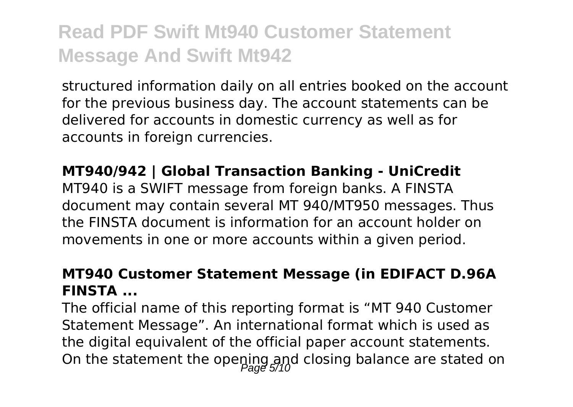structured information daily on all entries booked on the account for the previous business day. The account statements can be delivered for accounts in domestic currency as well as for accounts in foreign currencies.

#### **MT940/942 | Global Transaction Banking - UniCredit**

MT940 is a SWIFT message from foreign banks. A FINSTA document may contain several MT 940/MT950 messages. Thus the FINSTA document is information for an account holder on movements in one or more accounts within a given period.

### **MT940 Customer Statement Message (in EDIFACT D.96A FINSTA ...**

The official name of this reporting format is "MT 940 Customer Statement Message". An international format which is used as the digital equivalent of the official paper account statements. On the statement the opening and closing balance are stated on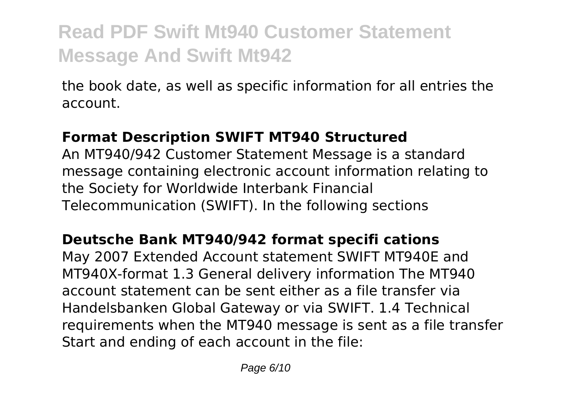the book date, as well as specific information for all entries the account.

### **Format Description SWIFT MT940 Structured**

An MT940/942 Customer Statement Message is a standard message containing electronic account information relating to the Society for Worldwide Interbank Financial Telecommunication (SWIFT). In the following sections

### **Deutsche Bank MT940/942 format specifi cations**

May 2007 Extended Account statement SWIFT MT940E and MT940X-format 1.3 General delivery information The MT940 account statement can be sent either as a file transfer via Handelsbanken Global Gateway or via SWIFT. 1.4 Technical requirements when the MT940 message is sent as a file transfer Start and ending of each account in the file: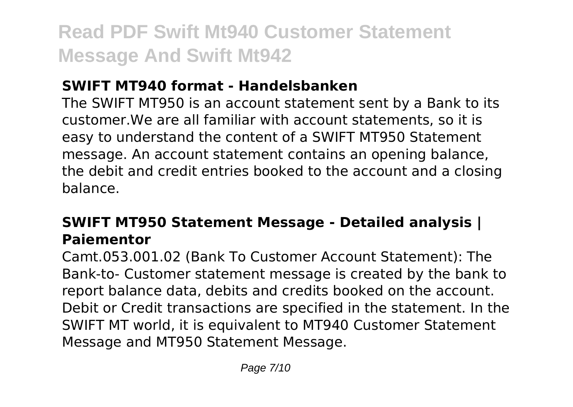### **SWIFT MT940 format - Handelsbanken**

The SWIFT MT950 is an account statement sent by a Bank to its customer.We are all familiar with account statements, so it is easy to understand the content of a SWIFT MT950 Statement message. An account statement contains an opening balance, the debit and credit entries booked to the account and a closing balance.

### **SWIFT MT950 Statement Message - Detailed analysis | Paiementor**

Camt.053.001.02 (Bank To Customer Account Statement): The Bank-to- Customer statement message is created by the bank to report balance data, debits and credits booked on the account. Debit or Credit transactions are specified in the statement. In the SWIFT MT world, it is equivalent to MT940 Customer Statement Message and MT950 Statement Message.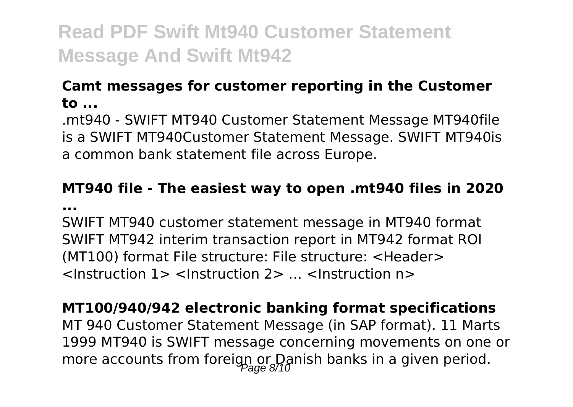### **Camt messages for customer reporting in the Customer to ...**

.mt940 - SWIFT MT940 Customer Statement Message MT940file is a SWIFT MT940Customer Statement Message. SWIFT MT940is a common bank statement file across Europe.

### **MT940 file - The easiest way to open .mt940 files in 2020 ...**

SWIFT MT940 customer statement message in MT940 format SWIFT MT942 interim transaction report in MT942 format ROI (MT100) format File structure: File structure: <Header> <Instruction 1> <Instruction 2> … <Instruction n>

**MT100/940/942 electronic banking format specifications** MT 940 Customer Statement Message (in SAP format). 11 Marts 1999 MT940 is SWIFT message concerning movements on one or more accounts from foreign or Danish banks in a given period.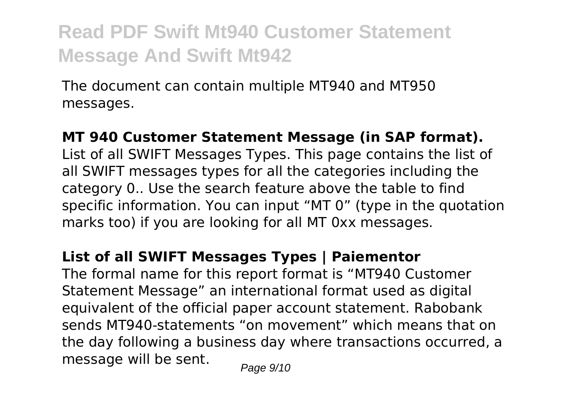The document can contain multiple MT940 and MT950 messages.

#### **MT 940 Customer Statement Message (in SAP format).**

List of all SWIFT Messages Types. This page contains the list of all SWIFT messages types for all the categories including the category 0.. Use the search feature above the table to find specific information. You can input "MT 0" (type in the quotation marks too) if you are looking for all MT 0xx messages.

#### **List of all SWIFT Messages Types | Paiementor**

The formal name for this report format is "MT940 Customer Statement Message" an international format used as digital equivalent of the official paper account statement. Rabobank sends MT940-statements "on movement" which means that on the day following a business day where transactions occurred, a message will be sent.  $P_{\text{face } 9/10}$